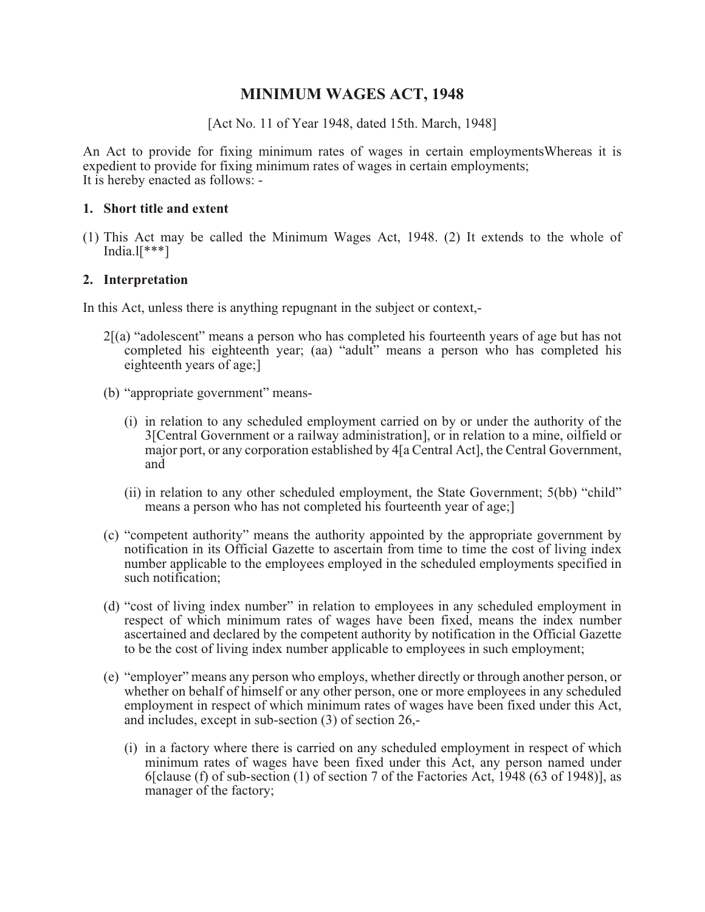# **MINIMUM WAGES ACT, 1948**

[Act No. 11 of Year 1948, dated 15th. March, 1948]

An Act to provide for fixing minimum rates of wages in certain employmentsWhereas it is expedient to provide for fixing minimum rates of wages in certain employments; It is hereby enacted as follows: -

#### **1. Short title and extent**

(1) This Act may be called the Minimum Wages Act, 1948. (2) It extends to the whole of India. $\mathbb{I}$ <sup>\*\*\*</sup>]

### **2. Interpretation**

In this Act, unless there is anything repugnant in the subject or context,-

- 2[(a) "adolescent" means a person who has completed his fourteenth years of age but has not completed his eighteenth year; (aa) "adult" means a person who has completed his eighteenth years of age;]
- (b) "appropriate government" means-
	- (i) in relation to any scheduled employment carried on by or under the authority of the 3[Central Government or a railway administration], or in relation to a mine, oilfield or major port, or any corporation established by 4[a Central Act], the Central Government, and
	- (ii) in relation to any other scheduled employment, the State Government; 5(bb) "child" means a person who has not completed his fourteenth year of age;]
- (c) "competent authority" means the authority appointed by the appropriate government by notification in its Official Gazette to ascertain from time to time the cost of living index number applicable to the employees employed in the scheduled employments specified in such notification;
- (d) "cost of living index number" in relation to employees in any scheduled employment in respect of which minimum rates of wages have been fixed, means the index number ascertained and declared by the competent authority by notification in the Official Gazette to be the cost of living index number applicable to employees in such employment;
- (e) "employer" means any person who employs, whether directly or through another person, or whether on behalf of himself or any other person, one or more employees in any scheduled employment in respect of which minimum rates of wages have been fixed under this Act, and includes, except in sub-section (3) of section 26,-
	- (i) in a factory where there is carried on any scheduled employment in respect of which minimum rates of wages have been fixed under this Act, any person named under 6[clause (f) of sub-section (1) of section 7 of the Factories Act,  $1948$  (63 of 1948)], as manager of the factory;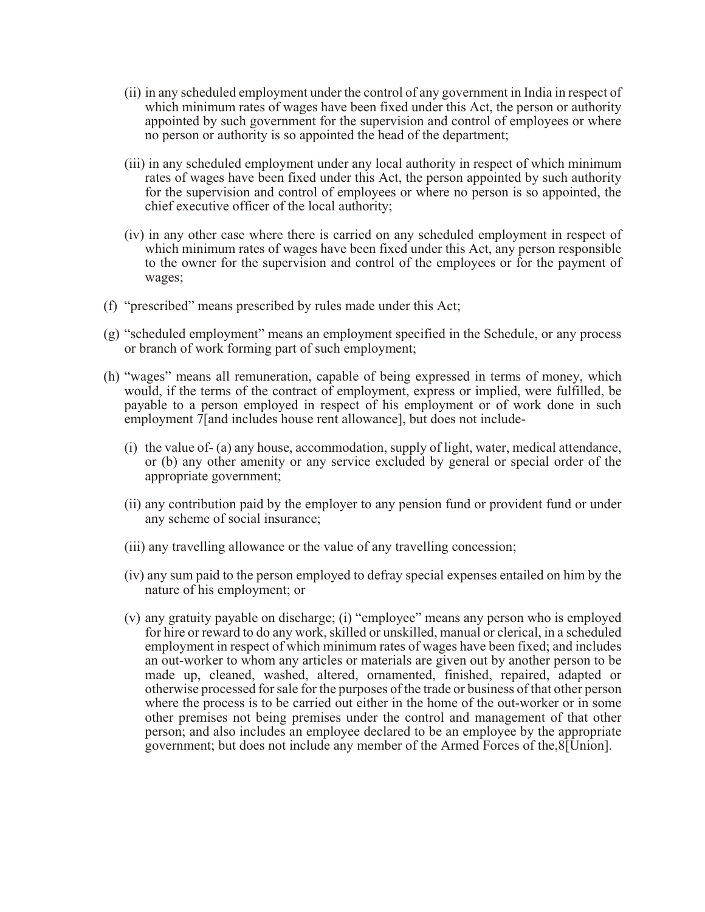- (ii) in any scheduled employment under the control of any government in India in respect of which minimum rates of wages have been fixed under this Act, the person or authority appointed by such government for the supervision and control of employees or where no person or authority is so appointed the head of the department;
- (iii) in any scheduled employment under any local authority in respect of which minimum rates of wages have been fixed under this Act, the person appointed by such authority for the supervision and control of employees or where no person is so appointed, the chief executive officer of the local authority;
- (iv) in any other case where there is carried on any scheduled employment in respect of which minimum rates of wages have been fixed under this Act, any person responsible to the owner for the supervision and control of the employees or for the payment of wages;
- (f) "prescribed" means prescribed by rules made under this Act;
- (g) "scheduled employment" means an employment specified in the Schedule, or any process or branch of work forming part of such employment;
- (h) "wages" means all remuneration, capable of being expressed in terms of money, which would, if the terms of the contract of employment, express or implied, were fulfilled, be payable to a person employed in respect of his employment or of work done in such employment 7[and includes house rent allowance], but does not include-
	- (i) the value of- (a) any house, accommodation, supply of light, water, medical attendance, or (b) any other amenity or any service excluded by general or special order of the appropriate government;
	- (ii) any contribution paid by the employer to any pension fund or provident fund or under any scheme of social insurance;
	- (iii) any travelling allowance or the value of any travelling concession;
	- (iv) any sum paid to the person employed to defray special expenses entailed on him by the nature of his employment; or
	- (v) any gratuity payable on discharge; (i) "employee" means any person who is employed for hire or reward to do any work, skilled or unskilled, manual or clerical, in a scheduled employment in respect of which minimum rates of wages have been fixed; and includes an out-worker to whom any articles or materials are given out by another person to be made up, cleaned, washed, altered, ornamented, finished, repaired, adapted or otherwise processed for sale for the purposes of the trade or business of that other person where the process is to be carried out either in the home of the out-worker or in some other premises not being premises under the control and management of that other person; and also includes an employee declared to be an employee by the appropriate government; but does not include any member of the Armed Forces of the,8[Union].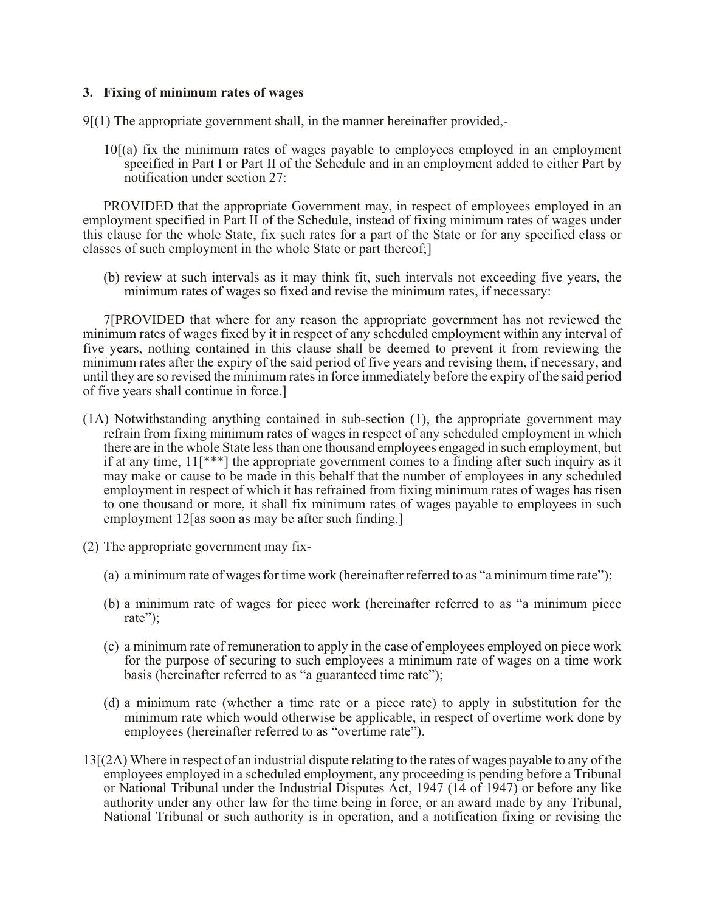### **3. Fixing of minimum rates of wages**

9[(1) The appropriate government shall, in the manner hereinafter provided,-

10[(a) fix the minimum rates of wages payable to employees employed in an employment specified in Part I or Part II of the Schedule and in an employment added to either Part by notification under section 27:

PROVIDED that the appropriate Government may, in respect of employees employed in an employment specified in Part II of the Schedule, instead of fixing minimum rates of wages under this clause for the whole State, fix such rates for a part of the State or for any specified class or classes of such employment in the whole State or part thereof;]

(b) review at such intervals as it may think fit, such intervals not exceeding five years, the minimum rates of wages so fixed and revise the minimum rates, if necessary:

7[PROVIDED that where for any reason the appropriate government has not reviewed the minimum rates of wages fixed by it in respect of any scheduled employment within any interval of five years, nothing contained in this clause shall be deemed to prevent it from reviewing the minimum rates after the expiry of the said period of five years and revising them, if necessary, and until they are so revised the minimum rates in force immediately before the expiry of the said period of five years shall continue in force.]

- (1A) Notwithstanding anything contained in sub-section (1), the appropriate government may refrain from fixing minimum rates of wages in respect of any scheduled employment in which there are in the whole State less than one thousand employees engaged in such employment, but if at any time, 11[\*\*\*] the appropriate government comes to a finding after such inquiry as it may make or cause to be made in this behalf that the number of employees in any scheduled employment in respect of which it has refrained from fixing minimum rates of wages has risen to one thousand or more, it shall fix minimum rates of wages payable to employees in such employment 12[as soon as may be after such finding.]
- (2) The appropriate government may fix-
	- (a) a minimum rate of wages for time work (hereinafter referred to as "a minimum time rate");
	- (b) a minimum rate of wages for piece work (hereinafter referred to as "a minimum piece rate";
	- (c) a minimum rate of remuneration to apply in the case of employees employed on piece work for the purpose of securing to such employees a minimum rate of wages on a time work basis (hereinafter referred to as "a guaranteed time rate");
	- (d) a minimum rate (whether a time rate or a piece rate) to apply in substitution for the minimum rate which would otherwise be applicable, in respect of overtime work done by employees (hereinafter referred to as "overtime rate").
- 13[(2A) Where in respect of an industrial dispute relating to the rates of wages payable to any of the employees employed in a scheduled employment, any proceeding is pending before a Tribunal or National Tribunal under the Industrial Disputes Act, 1947 (14 of 1947) or before any like authority under any other law for the time being in force, or an award made by any Tribunal, National Tribunal or such authority is in operation, and a notification fixing or revising the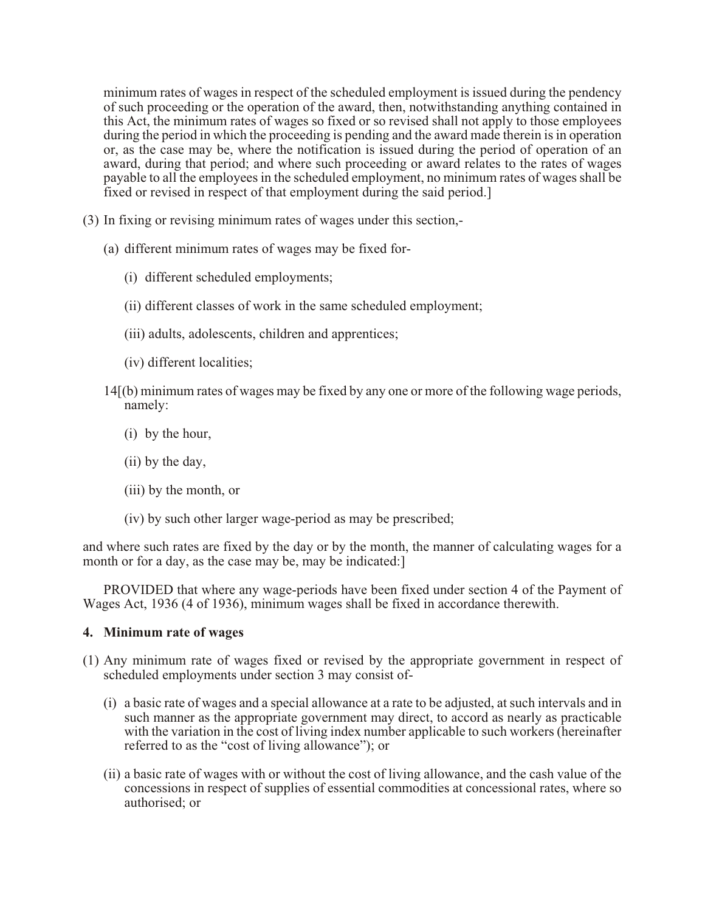minimum rates of wages in respect of the scheduled employment is issued during the pendency of such proceeding or the operation of the award, then, notwithstanding anything contained in this Act, the minimum rates of wages so fixed or so revised shall not apply to those employees during the period in which the proceeding is pending and the award made therein is in operation or, as the case may be, where the notification is issued during the period of operation of an award, during that period; and where such proceeding or award relates to the rates of wages payable to all the employees in the scheduled employment, no minimum rates of wages shall be fixed or revised in respect of that employment during the said period.]

- (3) In fixing or revising minimum rates of wages under this section,-
	- (a) different minimum rates of wages may be fixed for-
		- (i) different scheduled employments;
		- (ii) different classes of work in the same scheduled employment;
		- (iii) adults, adolescents, children and apprentices;
		- (iv) different localities;
	- 14[(b) minimum rates of wages may be fixed by any one or more of the following wage periods, namely:
		- (i) by the hour,
		- (ii) by the day,
		- (iii) by the month, or
		- (iv) by such other larger wage-period as may be prescribed;

and where such rates are fixed by the day or by the month, the manner of calculating wages for a month or for a day, as the case may be, may be indicated:

PROVIDED that where any wage-periods have been fixed under section 4 of the Payment of Wages Act, 1936 (4 of 1936), minimum wages shall be fixed in accordance therewith.

#### **4. Minimum rate of wages**

- (1) Any minimum rate of wages fixed or revised by the appropriate government in respect of scheduled employments under section 3 may consist of-
	- (i) a basic rate of wages and a special allowance at a rate to be adjusted, at such intervals and in such manner as the appropriate government may direct, to accord as nearly as practicable with the variation in the cost of living index number applicable to such workers (hereinafter referred to as the "cost of living allowance"); or
	- (ii) a basic rate of wages with or without the cost of living allowance, and the cash value of the concessions in respect of supplies of essential commodities at concessional rates, where so authorised; or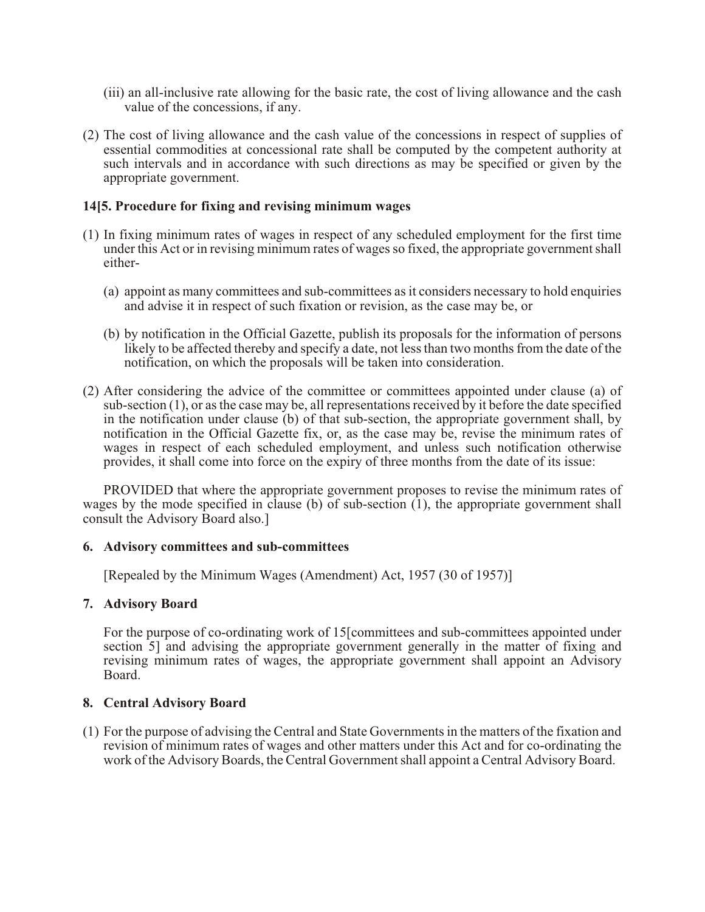- (iii) an all-inclusive rate allowing for the basic rate, the cost of living allowance and the cash value of the concessions, if any.
- (2) The cost of living allowance and the cash value of the concessions in respect of supplies of essential commodities at concessional rate shall be computed by the competent authority at such intervals and in accordance with such directions as may be specified or given by the appropriate government.

### **14[5. Procedure for fixing and revising minimum wages**

- (1) In fixing minimum rates of wages in respect of any scheduled employment for the first time under this Act or in revising minimum rates of wages so fixed, the appropriate government shall either-
	- (a) appoint as many committees and sub-committees as it considers necessary to hold enquiries and advise it in respect of such fixation or revision, as the case may be, or
	- (b) by notification in the Official Gazette, publish its proposals for the information of persons likely to be affected thereby and specify a date, not less than two months from the date of the notification, on which the proposals will be taken into consideration.
- (2) After considering the advice of the committee or committees appointed under clause (a) of sub-section (1), or as the case may be, all representations received by it before the date specified in the notification under clause (b) of that sub-section, the appropriate government shall, by notification in the Official Gazette fix, or, as the case may be, revise the minimum rates of wages in respect of each scheduled employment, and unless such notification otherwise provides, it shall come into force on the expiry of three months from the date of its issue:

PROVIDED that where the appropriate government proposes to revise the minimum rates of wages by the mode specified in clause (b) of sub-section  $(1)$ , the appropriate government shall consult the Advisory Board also.]

#### **6. Advisory committees and sub-committees**

[Repealed by the Minimum Wages (Amendment) Act, 1957 (30 of 1957)]

### **7. Advisory Board**

For the purpose of co-ordinating work of 15[committees and sub-committees appointed under section 5] and advising the appropriate government generally in the matter of fixing and revising minimum rates of wages, the appropriate government shall appoint an Advisory Board.

### **8. Central Advisory Board**

(1) For the purpose of advising the Central and State Governments in the matters of the fixation and revision of minimum rates of wages and other matters under this Act and for co-ordinating the work of the Advisory Boards, the Central Government shall appoint a Central Advisory Board.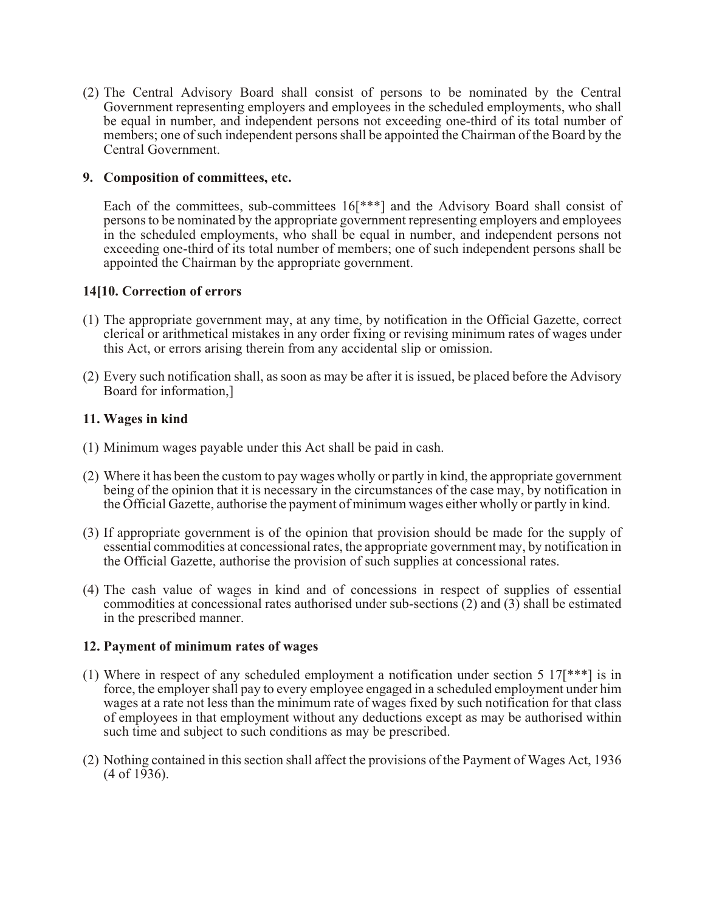(2) The Central Advisory Board shall consist of persons to be nominated by the Central Government representing employers and employees in the scheduled employments, who shall be equal in number, and independent persons not exceeding one-third of its total number of members; one of such independent persons shall be appointed the Chairman of the Board by the Central Government.

### **9. Composition of committees, etc.**

Each of the committees, sub-committees 16[\*\*\*] and the Advisory Board shall consist of persons to be nominated by the appropriate government representing employers and employees in the scheduled employments, who shall be equal in number, and independent persons not exceeding one-third of its total number of members; one of such independent persons shall be appointed the Chairman by the appropriate government.

# **14[10. Correction of errors**

- (1) The appropriate government may, at any time, by notification in the Official Gazette, correct clerical or arithmetical mistakes in any order fixing or revising minimum rates of wages under this Act, or errors arising therein from any accidental slip or omission.
- (2) Every such notification shall, as soon as may be after it is issued, be placed before the Advisory Board for information,]

# **11. Wages in kind**

- (1) Minimum wages payable under this Act shall be paid in cash.
- (2) Where it has been the custom to pay wages wholly or partly in kind, the appropriate government being of the opinion that it is necessary in the circumstances of the case may, by notification in the Official Gazette, authorise the payment of minimum wages either wholly or partly in kind.
- (3) If appropriate government is of the opinion that provision should be made for the supply of essential commodities at concessional rates, the appropriate government may, by notification in the Official Gazette, authorise the provision of such supplies at concessional rates.
- (4) The cash value of wages in kind and of concessions in respect of supplies of essential commodities at concessional rates authorised under sub-sections (2) and (3) shall be estimated in the prescribed manner.

### **12. Payment of minimum rates of wages**

- (1) Where in respect of any scheduled employment a notification under section 5 17[\*\*\*] is in force, the employer shall pay to every employee engaged in a scheduled employment under him wages at a rate not less than the minimum rate of wages fixed by such notification for that class of employees in that employment without any deductions except as may be authorised within such time and subject to such conditions as may be prescribed.
- (2) Nothing contained in this section shall affect the provisions of the Payment of Wages Act, 1936  $(4 \text{ of } 1936).$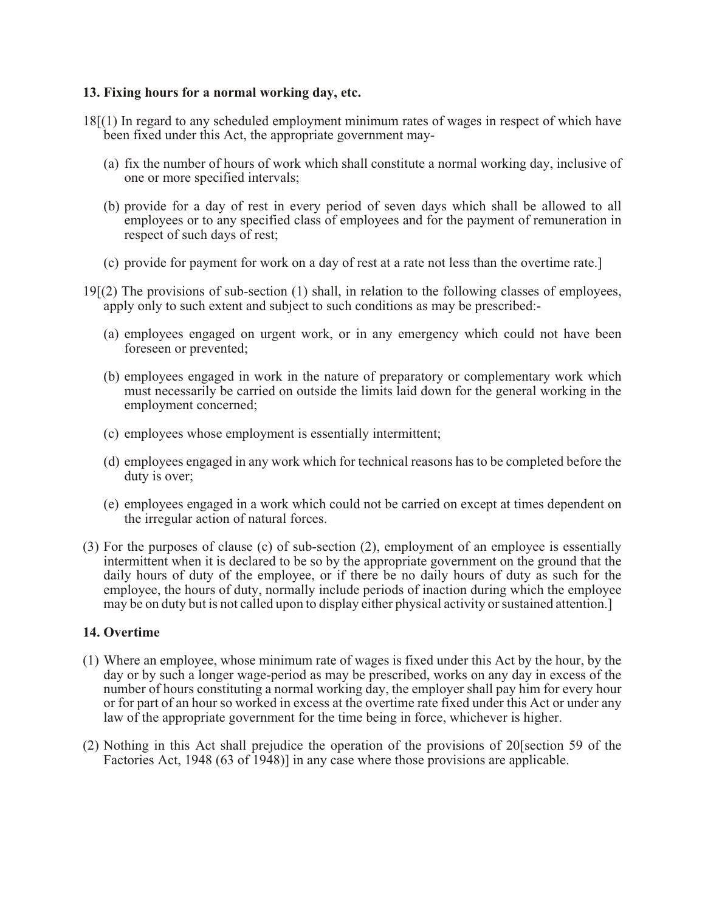### **13. Fixing hours for a normal working day, etc.**

- 18[(1) In regard to any scheduled employment minimum rates of wages in respect of which have been fixed under this Act, the appropriate government may-
	- (a) fix the number of hours of work which shall constitute a normal working day, inclusive of one or more specified intervals;
	- (b) provide for a day of rest in every period of seven days which shall be allowed to all employees or to any specified class of employees and for the payment of remuneration in respect of such days of rest;
	- (c) provide for payment for work on a day of rest at a rate not less than the overtime rate.]
- 19[(2) The provisions of sub-section (1) shall, in relation to the following classes of employees, apply only to such extent and subject to such conditions as may be prescribed:-
	- (a) employees engaged on urgent work, or in any emergency which could not have been foreseen or prevented;
	- (b) employees engaged in work in the nature of preparatory or complementary work which must necessarily be carried on outside the limits laid down for the general working in the employment concerned;
	- (c) employees whose employment is essentially intermittent;
	- (d) employees engaged in any work which for technical reasons has to be completed before the duty is over;
	- (e) employees engaged in a work which could not be carried on except at times dependent on the irregular action of natural forces.
- (3) For the purposes of clause (c) of sub-section (2), employment of an employee is essentially intermittent when it is declared to be so by the appropriate government on the ground that the daily hours of duty of the employee, or if there be no daily hours of duty as such for the employee, the hours of duty, normally include periods of inaction during which the employee may be on duty but is not called upon to display either physical activity or sustained attention.]

#### **14. Overtime**

- (1) Where an employee, whose minimum rate of wages is fixed under this Act by the hour, by the day or by such a longer wage-period as may be prescribed, works on any day in excess of the number of hours constituting a normal working day, the employer shall pay him for every hour or for part of an hour so worked in excess at the overtime rate fixed under this Act or under any law of the appropriate government for the time being in force, whichever is higher.
- (2) Nothing in this Act shall prejudice the operation of the provisions of 20[section 59 of the Factories Act, 1948 (63 of 1948)] in any case where those provisions are applicable.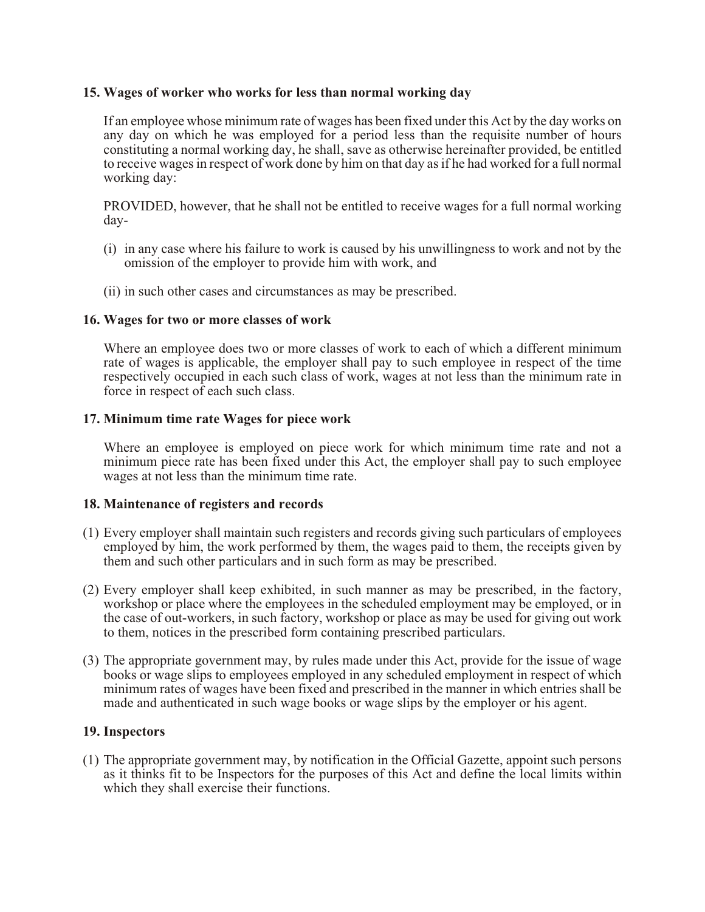### **15. Wages of worker who works for less than normal working day**

If an employee whose minimum rate of wages has been fixed under this Act by the day works on any day on which he was employed for a period less than the requisite number of hours constituting a normal working day, he shall, save as otherwise hereinafter provided, be entitled to receive wages in respect of work done by him on that day as if he had worked for a full normal working day:

PROVIDED, however, that he shall not be entitled to receive wages for a full normal working day-

- (i) in any case where his failure to work is caused by his unwillingness to work and not by the omission of the employer to provide him with work, and
- (ii) in such other cases and circumstances as may be prescribed.

### **16. Wages for two or more classes of work**

Where an employee does two or more classes of work to each of which a different minimum rate of wages is applicable, the employer shall pay to such employee in respect of the time respectively occupied in each such class of work, wages at not less than the minimum rate in force in respect of each such class.

#### **17. Minimum time rate Wages for piece work**

Where an employee is employed on piece work for which minimum time rate and not a minimum piece rate has been fixed under this Act, the employer shall pay to such employee wages at not less than the minimum time rate.

#### **18. Maintenance of registers and records**

- (1) Every employer shall maintain such registers and records giving such particulars of employees employed by him, the work performed by them, the wages paid to them, the receipts given by them and such other particulars and in such form as may be prescribed.
- (2) Every employer shall keep exhibited, in such manner as may be prescribed, in the factory, workshop or place where the employees in the scheduled employment may be employed, or in the case of out-workers, in such factory, workshop or place as may be used for giving out work to them, notices in the prescribed form containing prescribed particulars.
- (3) The appropriate government may, by rules made under this Act, provide for the issue of wage books or wage slips to employees employed in any scheduled employment in respect of which minimum rates of wages have been fixed and prescribed in the manner in which entries shall be made and authenticated in such wage books or wage slips by the employer or his agent.

### **19. Inspectors**

(1) The appropriate government may, by notification in the Official Gazette, appoint such persons as it thinks fit to be Inspectors for the purposes of this Act and define the local limits within which they shall exercise their functions.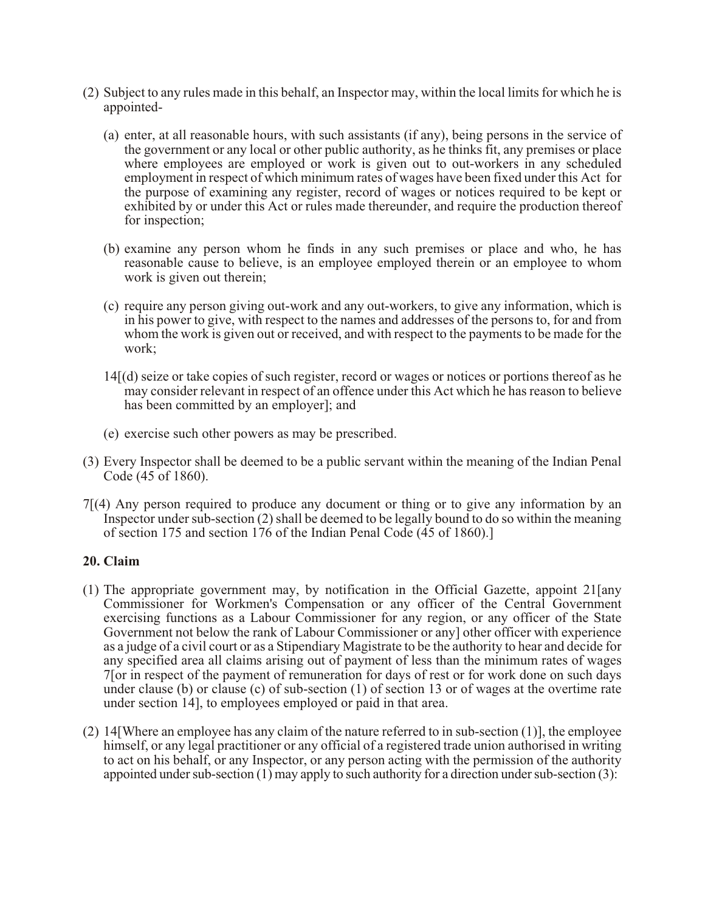- (2) Subject to any rules made in this behalf, an Inspector may, within the local limits for which he is appointed-
	- (a) enter, at all reasonable hours, with such assistants (if any), being persons in the service of the government or any local or other public authority, as he thinks fit, any premises or place where employees are employed or work is given out to out-workers in any scheduled employment in respect of which minimum rates of wages have been fixed under this Act for the purpose of examining any register, record of wages or notices required to be kept or exhibited by or under this Act or rules made thereunder, and require the production thereof for inspection;
	- (b) examine any person whom he finds in any such premises or place and who, he has reasonable cause to believe, is an employee employed therein or an employee to whom work is given out therein;
	- (c) require any person giving out-work and any out-workers, to give any information, which is in his power to give, with respect to the names and addresses of the persons to, for and from whom the work is given out or received, and with respect to the payments to be made for the work;
	- 14[(d) seize or take copies of such register, record or wages or notices or portions thereof as he may consider relevant in respect of an offence under this Act which he has reason to believe has been committed by an employer]; and
	- (e) exercise such other powers as may be prescribed.
- (3) Every Inspector shall be deemed to be a public servant within the meaning of the Indian Penal Code (45 of 1860).
- 7[(4) Any person required to produce any document or thing or to give any information by an Inspector under sub-section (2) shall be deemed to be legally bound to do so within the meaning of section 175 and section 176 of the Indian Penal Code (45 of 1860).]

### **20. Claim**

- (1) The appropriate government may, by notification in the Official Gazette, appoint 21[any Commissioner for Workmen's Compensation or any officer of the Central Government exercising functions as a Labour Commissioner for any region, or any officer of the State Government not below the rank of Labour Commissioner or any] other officer with experience as a judge of a civil court or as a Stipendiary Magistrate to be the authority to hear and decide for any specified area all claims arising out of payment of less than the minimum rates of wages 7[or in respect of the payment of remuneration for days of rest or for work done on such days under clause (b) or clause (c) of sub-section (1) of section 13 or of wages at the overtime rate under section 14], to employees employed or paid in that area.
- (2) 14[Where an employee has any claim of the nature referred to in sub-section (1)], the employee himself, or any legal practitioner or any official of a registered trade union authorised in writing to act on his behalf, or any Inspector, or any person acting with the permission of the authority appointed under sub-section (1) may apply to such authority for a direction under sub-section (3):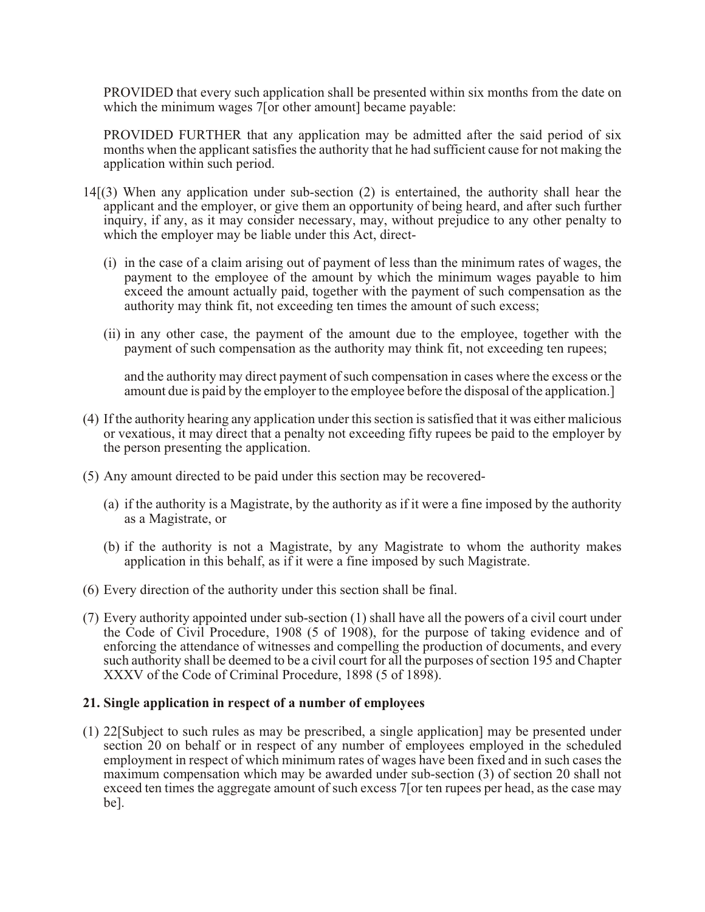PROVIDED that every such application shall be presented within six months from the date on which the minimum wages 7 [or other amount] became payable:

PROVIDED FURTHER that any application may be admitted after the said period of six months when the applicant satisfies the authority that he had sufficient cause for not making the application within such period.

- 14[(3) When any application under sub-section (2) is entertained, the authority shall hear the applicant and the employer, or give them an opportunity of being heard, and after such further inquiry, if any, as it may consider necessary, may, without prejudice to any other penalty to which the employer may be liable under this Act, direct-
	- (i) in the case of a claim arising out of payment of less than the minimum rates of wages, the payment to the employee of the amount by which the minimum wages payable to him exceed the amount actually paid, together with the payment of such compensation as the authority may think fit, not exceeding ten times the amount of such excess;
	- (ii) in any other case, the payment of the amount due to the employee, together with the payment of such compensation as the authority may think fit, not exceeding ten rupees;

and the authority may direct payment of such compensation in cases where the excess or the amount due is paid by the employer to the employee before the disposal of the application.]

- (4) If the authority hearing any application under this section is satisfied that it was either malicious or vexatious, it may direct that a penalty not exceeding fifty rupees be paid to the employer by the person presenting the application.
- (5) Any amount directed to be paid under this section may be recovered-
	- (a) if the authority is a Magistrate, by the authority as if it were a fine imposed by the authority as a Magistrate, or
	- (b) if the authority is not a Magistrate, by any Magistrate to whom the authority makes application in this behalf, as if it were a fine imposed by such Magistrate.
- (6) Every direction of the authority under this section shall be final.
- (7) Every authority appointed under sub-section (1) shall have all the powers of a civil court under the Code of Civil Procedure, 1908 (5 of 1908), for the purpose of taking evidence and of enforcing the attendance of witnesses and compelling the production of documents, and every such authority shall be deemed to be a civil court for all the purposes of section 195 and Chapter XXXV of the Code of Criminal Procedure, 1898 (5 of 1898).

### **21. Single application in respect of a number of employees**

(1) 22[Subject to such rules as may be prescribed, a single application] may be presented under section 20 on behalf or in respect of any number of employees employed in the scheduled employment in respect of which minimum rates of wages have been fixed and in such cases the maximum compensation which may be awarded under sub-section (3) of section 20 shall not exceed ten times the aggregate amount of such excess 7[or ten rupees per head, as the case may be].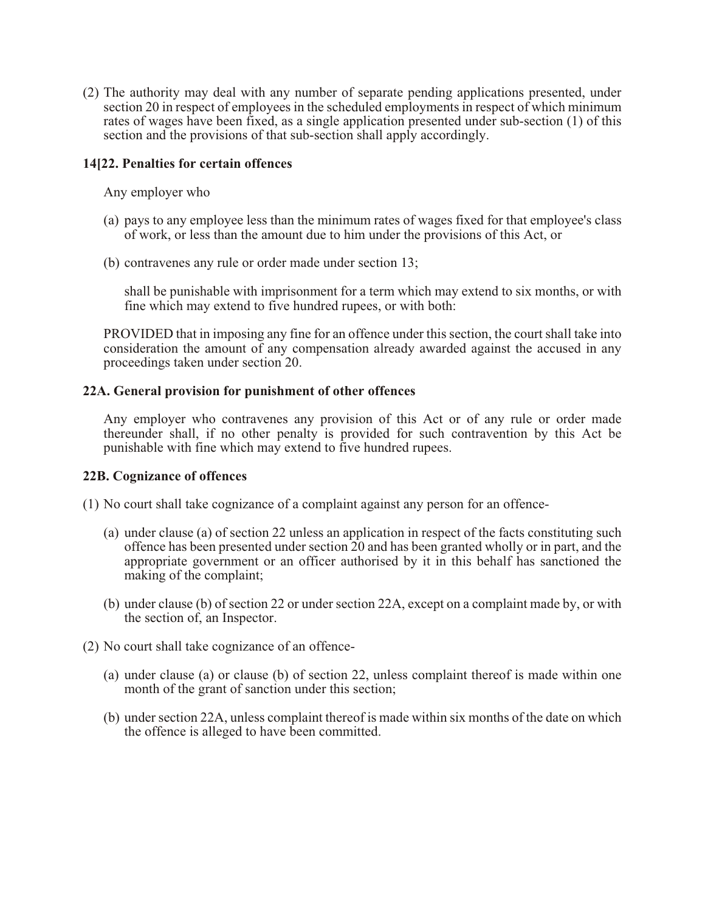(2) The authority may deal with any number of separate pending applications presented, under section 20 in respect of employees in the scheduled employments in respect of which minimum rates of wages have been fixed, as a single application presented under sub-section (1) of this section and the provisions of that sub-section shall apply accordingly.

### **14[22. Penalties for certain offences**

Any employer who

- (a) pays to any employee less than the minimum rates of wages fixed for that employee's class of work, or less than the amount due to him under the provisions of this Act, or
- (b) contravenes any rule or order made under section 13;

shall be punishable with imprisonment for a term which may extend to six months, or with fine which may extend to five hundred rupees, or with both:

PROVIDED that in imposing any fine for an offence under this section, the court shall take into consideration the amount of any compensation already awarded against the accused in any proceedings taken under section 20.

### **22A. General provision for punishment of other offences**

Any employer who contravenes any provision of this Act or of any rule or order made thereunder shall, if no other penalty is provided for such contravention by this Act be punishable with fine which may extend to five hundred rupees.

#### **22B. Cognizance of offences**

- (1) No court shall take cognizance of a complaint against any person for an offence-
	- (a) under clause (a) of section 22 unless an application in respect of the facts constituting such offence has been presented under section 20 and has been granted wholly or in part, and the appropriate government or an officer authorised by it in this behalf has sanctioned the making of the complaint;
	- (b) under clause (b) of section 22 or under section 22A, except on a complaint made by, or with the section of, an Inspector.
- (2) No court shall take cognizance of an offence-
	- (a) under clause (a) or clause (b) of section 22, unless complaint thereof is made within one month of the grant of sanction under this section;
	- (b) under section 22A, unless complaint thereof is made within six months of the date on which the offence is alleged to have been committed.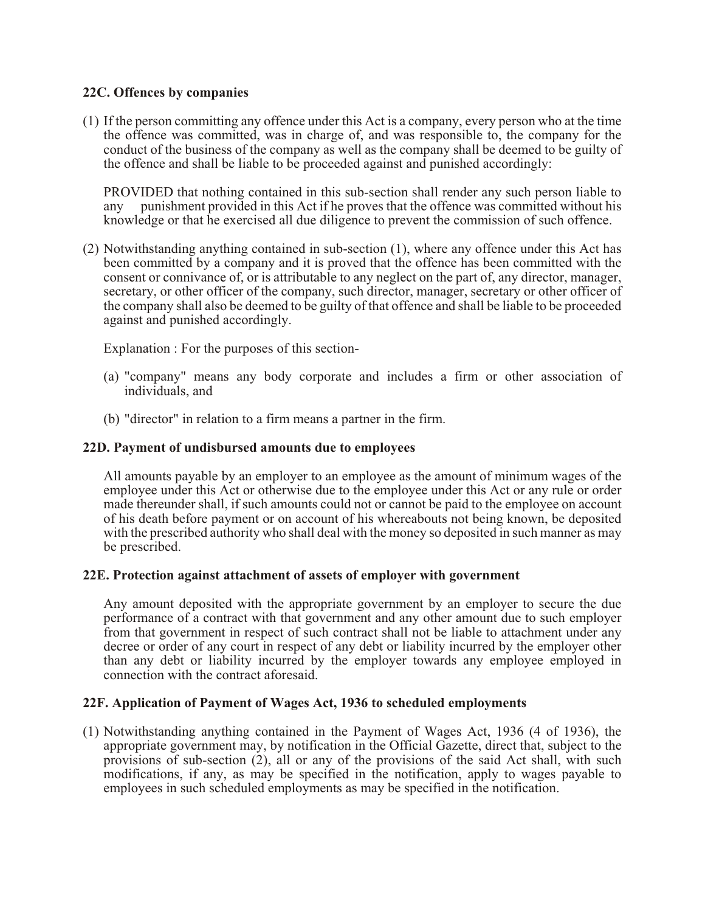### **22C. Offences by companies**

(1) If the person committing any offence under this Act is a company, every person who at the time the offence was committed, was in charge of, and was responsible to, the company for the conduct of the business of the company as well as the company shall be deemed to be guilty of the offence and shall be liable to be proceeded against and punished accordingly:

PROVIDED that nothing contained in this sub-section shall render any such person liable to any punishment provided in this Act if he proves that the offence was committed without his knowledge or that he exercised all due diligence to prevent the commission of such offence.

(2) Notwithstanding anything contained in sub-section (1), where any offence under this Act has been committed by a company and it is proved that the offence has been committed with the consent or connivance of, or is attributable to any neglect on the part of, any director, manager, secretary, or other officer of the company, such director, manager, secretary or other officer of the company shall also be deemed to be guilty of that offence and shall be liable to be proceeded against and punished accordingly.

Explanation : For the purposes of this section-

- (a) "company" means any body corporate and includes a firm or other association of individuals, and
- (b) "director" in relation to a firm means a partner in the firm.

### **22D. Payment of undisbursed amounts due to employees**

All amounts payable by an employer to an employee as the amount of minimum wages of the employee under this Act or otherwise due to the employee under this Act or any rule or order made thereunder shall, if such amounts could not or cannot be paid to the employee on account of his death before payment or on account of his whereabouts not being known, be deposited with the prescribed authority who shall deal with the money so deposited in such manner as may be prescribed.

### **22E. Protection against attachment of assets of employer with government**

Any amount deposited with the appropriate government by an employer to secure the due performance of a contract with that government and any other amount due to such employer from that government in respect of such contract shall not be liable to attachment under any decree or order of any court in respect of any debt or liability incurred by the employer other than any debt or liability incurred by the employer towards any employee employed in connection with the contract aforesaid.

### **22F. Application of Payment of Wages Act, 1936 to scheduled employments**

(1) Notwithstanding anything contained in the Payment of Wages Act, 1936 (4 of 1936), the appropriate government may, by notification in the Official Gazette, direct that, subject to the provisions of sub-section (2), all or any of the provisions of the said Act shall, with such modifications, if any, as may be specified in the notification, apply to wages payable to employees in such scheduled employments as may be specified in the notification.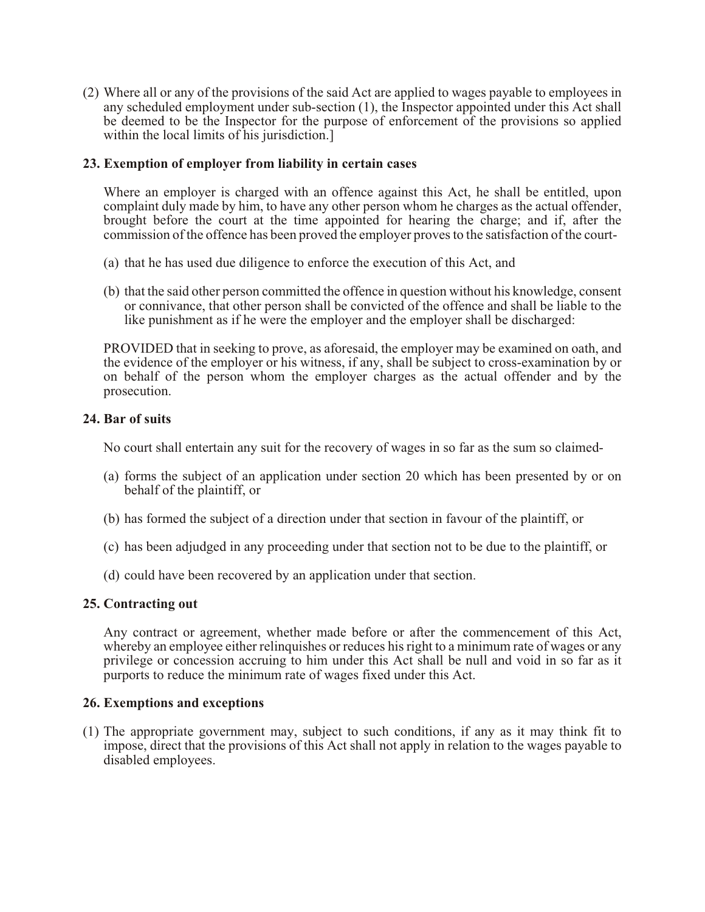(2) Where all or any of the provisions of the said Act are applied to wages payable to employees in any scheduled employment under sub-section (1), the Inspector appointed under this Act shall be deemed to be the Inspector for the purpose of enforcement of the provisions so applied within the local limits of his jurisdiction.]

### **23. Exemption of employer from liability in certain cases**

Where an employer is charged with an offence against this Act, he shall be entitled, upon complaint duly made by him, to have any other person whom he charges as the actual offender, brought before the court at the time appointed for hearing the charge; and if, after the commission of the offence has been proved the employer proves to the satisfaction of the court-

- (a) that he has used due diligence to enforce the execution of this Act, and
- (b) that the said other person committed the offence in question without his knowledge, consent or connivance, that other person shall be convicted of the offence and shall be liable to the like punishment as if he were the employer and the employer shall be discharged:

PROVIDED that in seeking to prove, as aforesaid, the employer may be examined on oath, and the evidence of the employer or his witness, if any, shall be subject to cross-examination by or on behalf of the person whom the employer charges as the actual offender and by the prosecution.

### **24. Bar of suits**

No court shall entertain any suit for the recovery of wages in so far as the sum so claimed-

- (a) forms the subject of an application under section 20 which has been presented by or on behalf of the plaintiff, or
- (b) has formed the subject of a direction under that section in favour of the plaintiff, or
- (c) has been adjudged in any proceeding under that section not to be due to the plaintiff, or
- (d) could have been recovered by an application under that section.

#### **25. Contracting out**

Any contract or agreement, whether made before or after the commencement of this Act, whereby an employee either relinquishes or reduces his right to a minimum rate of wages or any privilege or concession accruing to him under this Act shall be null and void in so far as it purports to reduce the minimum rate of wages fixed under this Act.

#### **26. Exemptions and exceptions**

(1) The appropriate government may, subject to such conditions, if any as it may think fit to impose, direct that the provisions of this Act shall not apply in relation to the wages payable to disabled employees.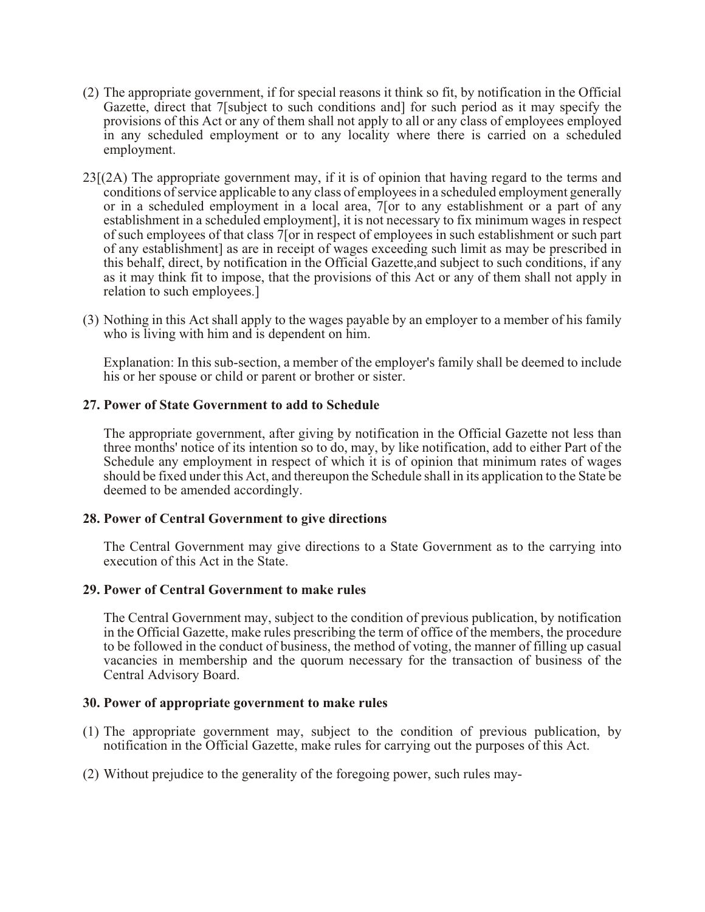- (2) The appropriate government, if for special reasons it think so fit, by notification in the Official Gazette, direct that 7[subject to such conditions and] for such period as it may specify the provisions of this Act or any of them shall not apply to all or any class of employees employed in any scheduled employment or to any locality where there is carried on a scheduled employment.
- 23[(2A) The appropriate government may, if it is of opinion that having regard to the terms and conditions of service applicable to any class of employees in a scheduled employment generally or in a scheduled employment in a local area, 7[or to any establishment or a part of any establishment in a scheduled employment], it is not necessary to fix minimum wages in respect of such employees of that class 7[or in respect of employees in such establishment or such part of any establishment] as are in receipt of wages exceeding such limit as may be prescribed in this behalf, direct, by notification in the Official Gazette,and subject to such conditions, if any as it may think fit to impose, that the provisions of this Act or any of them shall not apply in relation to such employees.]
- (3) Nothing in this Act shall apply to the wages payable by an employer to a member of his family who is living with him and is dependent on him.

Explanation: In this sub-section, a member of the employer's family shall be deemed to include his or her spouse or child or parent or brother or sister.

### **27. Power of State Government to add to Schedule**

The appropriate government, after giving by notification in the Official Gazette not less than three months' notice of its intention so to do, may, by like notification, add to either Part of the Schedule any employment in respect of which it is of opinion that minimum rates of wages should be fixed under this Act, and thereupon the Schedule shall in its application to the State be deemed to be amended accordingly.

#### **28. Power of Central Government to give directions**

The Central Government may give directions to a State Government as to the carrying into execution of this Act in the State.

#### **29. Power of Central Government to make rules**

The Central Government may, subject to the condition of previous publication, by notification in the Official Gazette, make rules prescribing the term of office of the members, the procedure to be followed in the conduct of business, the method of voting, the manner of filling up casual vacancies in membership and the quorum necessary for the transaction of business of the Central Advisory Board.

#### **30. Power of appropriate government to make rules**

- (1) The appropriate government may, subject to the condition of previous publication, by notification in the Official Gazette, make rules for carrying out the purposes of this Act.
- (2) Without prejudice to the generality of the foregoing power, such rules may-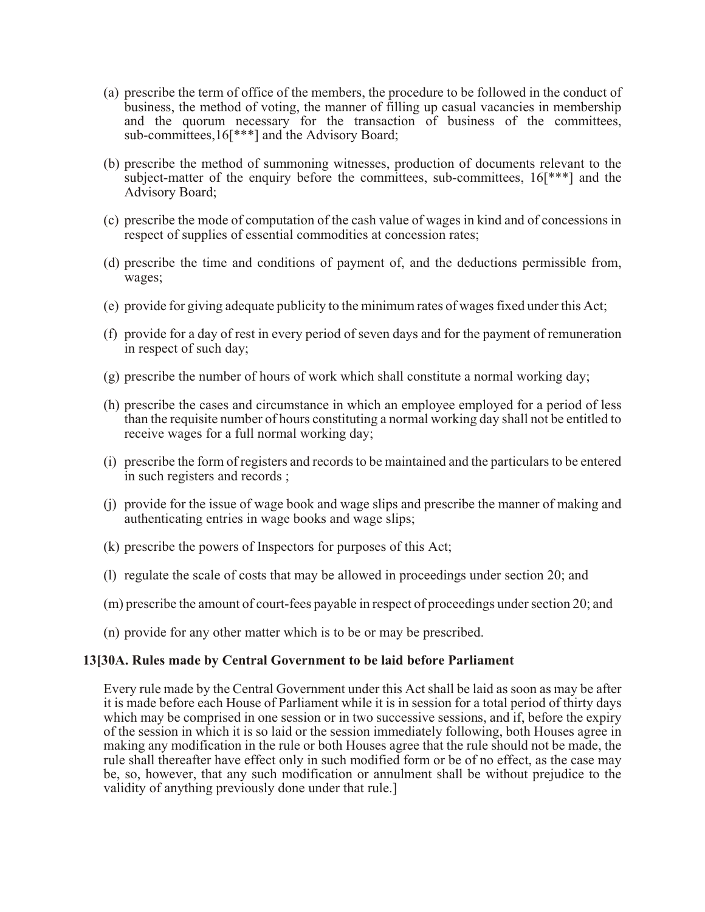- (a) prescribe the term of office of the members, the procedure to be followed in the conduct of business, the method of voting, the manner of filling up casual vacancies in membership and the quorum necessary for the transaction of business of the committees, sub-committees,16[\*\*\*] and the Advisory Board;
- (b) prescribe the method of summoning witnesses, production of documents relevant to the subject-matter of the enquiry before the committees, sub-committees, 16[\*\*\*] and the Advisory Board;
- (c) prescribe the mode of computation of the cash value of wages in kind and of concessions in respect of supplies of essential commodities at concession rates;
- (d) prescribe the time and conditions of payment of, and the deductions permissible from, wages;
- (e) provide for giving adequate publicity to the minimum rates of wages fixed under this Act;
- (f) provide for a day of rest in every period of seven days and for the payment of remuneration in respect of such day;
- (g) prescribe the number of hours of work which shall constitute a normal working day;
- (h) prescribe the cases and circumstance in which an employee employed for a period of less than the requisite number of hours constituting a normal working day shall not be entitled to receive wages for a full normal working day;
- (i) prescribe the form of registers and records to be maintained and the particulars to be entered in such registers and records ;
- (j) provide for the issue of wage book and wage slips and prescribe the manner of making and authenticating entries in wage books and wage slips;
- (k) prescribe the powers of Inspectors for purposes of this Act;
- (l) regulate the scale of costs that may be allowed in proceedings under section 20; and
- (m) prescribe the amount of court-fees payable in respect of proceedings under section 20; and
- (n) provide for any other matter which is to be or may be prescribed.

#### **13[30A. Rules made by Central Government to be laid before Parliament**

Every rule made by the Central Government under this Act shall be laid as soon as may be after it is made before each House of Parliament while it is in session for a total period of thirty days which may be comprised in one session or in two successive sessions, and if, before the expiry of the session in which it is so laid or the session immediately following, both Houses agree in making any modification in the rule or both Houses agree that the rule should not be made, the rule shall thereafter have effect only in such modified form or be of no effect, as the case may be, so, however, that any such modification or annulment shall be without prejudice to the validity of anything previously done under that rule.]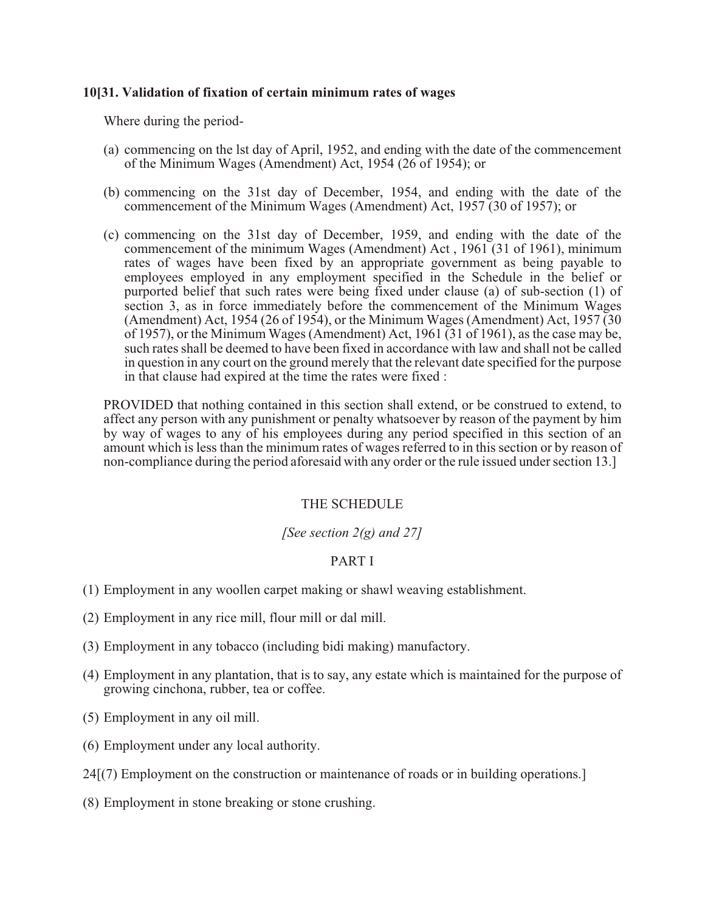### **10[31. Validation of fixation of certain minimum rates of wages**

Where during the period-

- (a) commencing on the lst day of April, 1952, and ending with the date of the commencement of the Minimum Wages (Amendment) Act, 1954 (26 of 1954); or
- (b) commencing on the 31st day of December, 1954, and ending with the date of the commencement of the Minimum Wages (Amendment) Act, 1957 (30 of 1957); or
- (c) commencing on the 31st day of December, 1959, and ending with the date of the commencement of the minimum Wages (Amendment) Act , 1961 (31 of 1961), minimum rates of wages have been fixed by an appropriate government as being payable to employees employed in any employment specified in the Schedule in the belief or purported belief that such rates were being fixed under clause (a) of sub-section (1) of section 3, as in force immediately before the commencement of the Minimum Wages (Amendment) Act, 1954 (26 of 1954), or the Minimum Wages (Amendment) Act, 1957 (30 of 1957), or the Minimum Wages (Amendment) Act, 1961 (31 of 1961), as the case may be, such rates shall be deemed to have been fixed in accordance with law and shall not be called in question in any court on the ground merely that the relevant date specified for the purpose in that clause had expired at the time the rates were fixed :

PROVIDED that nothing contained in this section shall extend, or be construed to extend, to affect any person with any punishment or penalty whatsoever by reason of the payment by him by way of wages to any of his employees during any period specified in this section of an amount which is less than the minimum rates of wages referred to in this section or by reason of non-compliance during the period aforesaid with any order or the rule issued under section 13.]

#### THE SCHEDULE

### *[See section 2(g) and 27]*

### PART I

- (1) Employment in any woollen carpet making or shawl weaving establishment.
- (2) Employment in any rice mill, flour mill or dal mill.
- (3) Employment in any tobacco (including bidi making) manufactory.
- (4) Employment in any plantation, that is to say, any estate which is maintained for the purpose of growing cinchona, rubber, tea or coffee.
- (5) Employment in any oil mill.
- (6) Employment under any local authority.
- 24[(7) Employment on the construction or maintenance of roads or in building operations.]
- (8) Employment in stone breaking or stone crushing.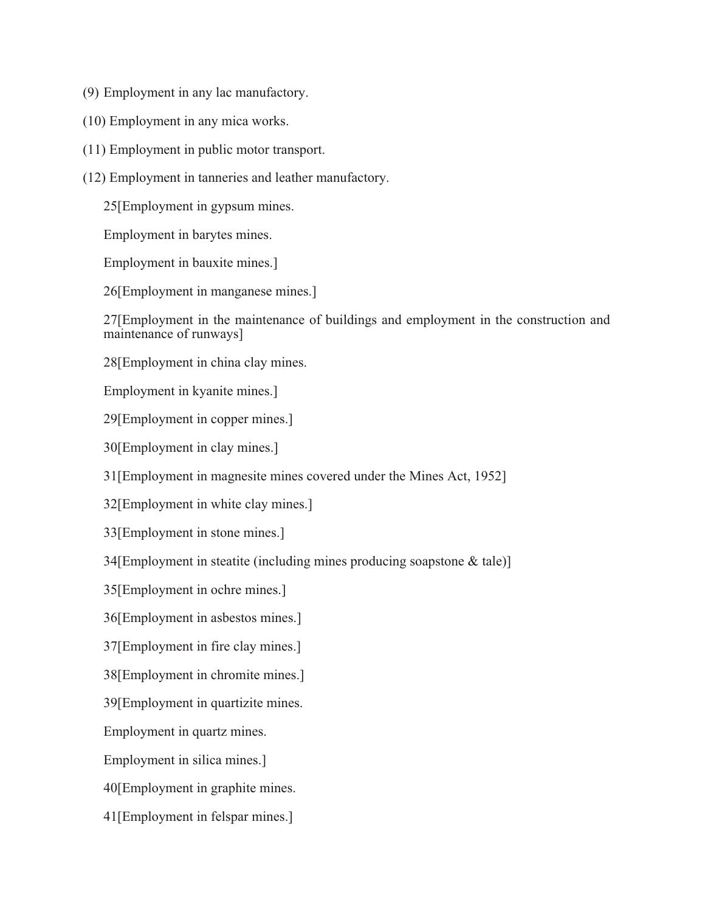- (9) Employment in any lac manufactory.
- (10) Employment in any mica works.
- (11) Employment in public motor transport.
- (12) Employment in tanneries and leather manufactory.

25[Employment in gypsum mines.

Employment in barytes mines.

Employment in bauxite mines.]

26[Employment in manganese mines.]

27[Employment in the maintenance of buildings and employment in the construction and maintenance of runways]

28[Employment in china clay mines.

Employment in kyanite mines.]

29[Employment in copper mines.]

30[Employment in clay mines.]

31[Employment in magnesite mines covered under the Mines Act, 1952]

32[Employment in white clay mines.]

33[Employment in stone mines.]

34[Employment in steatite (including mines producing soapstone & tale)]

35[Employment in ochre mines.]

36[Employment in asbestos mines.]

37[Employment in fire clay mines.]

38[Employment in chromite mines.]

39[Employment in quartizite mines.

Employment in quartz mines.

Employment in silica mines.]

40[Employment in graphite mines.

41[Employment in felspar mines.]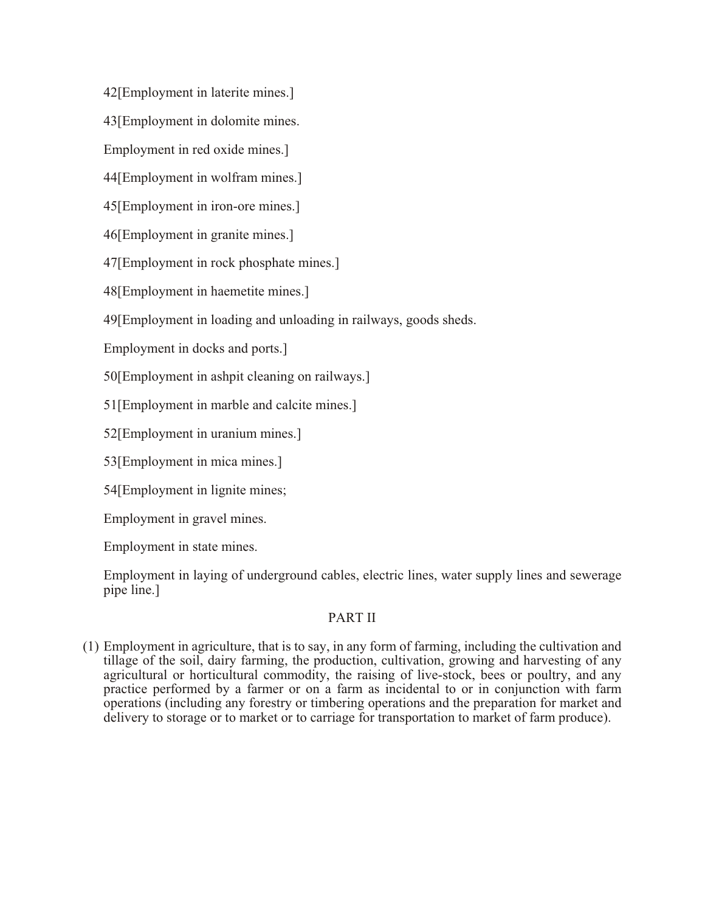42[Employment in laterite mines.]

43[Employment in dolomite mines.

Employment in red oxide mines.]

44[Employment in wolfram mines.]

45[Employment in iron-ore mines.]

46[Employment in granite mines.]

47[Employment in rock phosphate mines.]

48[Employment in haemetite mines.]

49[Employment in loading and unloading in railways, goods sheds.

Employment in docks and ports.]

50[Employment in ashpit cleaning on railways.]

51[Employment in marble and calcite mines.]

52[Employment in uranium mines.]

53[Employment in mica mines.]

54[Employment in lignite mines;

Employment in gravel mines.

Employment in state mines.

Employment in laying of underground cables, electric lines, water supply lines and sewerage pipe line.]

# PART II

(1) Employment in agriculture, that is to say, in any form of farming, including the cultivation and tillage of the soil, dairy farming, the production, cultivation, growing and harvesting of any agricultural or horticultural commodity, the raising of live-stock, bees or poultry, and any practice performed by a farmer or on a farm as incidental to or in conjunction with farm operations (including any forestry or timbering operations and the preparation for market and delivery to storage or to market or to carriage for transportation to market of farm produce).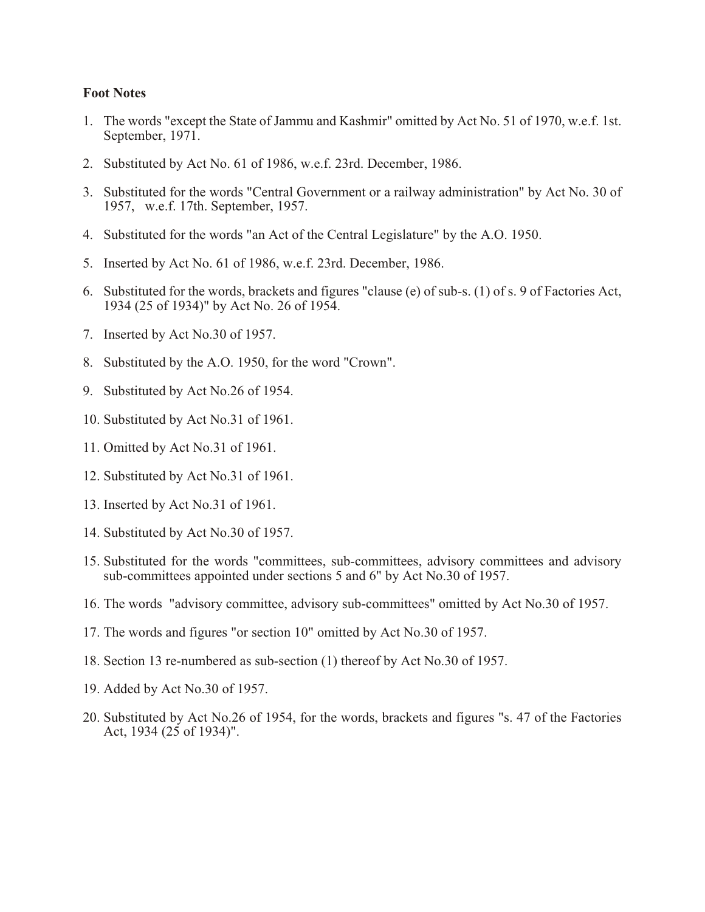#### **Foot Notes**

- 1. The words "except the State of Jammu and Kashmir" omitted by Act No. 51 of 1970, w.e.f. 1st. September, 1971.
- 2. Substituted by Act No. 61 of 1986, w.e.f. 23rd. December, 1986.
- 3. Substituted for the words "Central Government or a railway administration" by Act No. 30 of 1957, w.e.f. 17th. September, 1957.
- 4. Substituted for the words "an Act of the Central Legislature" by the A.O. 1950.
- 5. Inserted by Act No. 61 of 1986, w.e.f. 23rd. December, 1986.
- 6. Substituted for the words, brackets and figures "clause (e) of sub-s. (1) of s. 9 of Factories Act, 1934 (25 of 1934)" by Act No. 26 of 1954.
- 7. Inserted by Act No.30 of 1957.
- 8. Substituted by the A.O. 1950, for the word "Crown".
- 9. Substituted by Act No.26 of 1954.
- 10. Substituted by Act No.31 of 1961.
- 11. Omitted by Act No.31 of 1961.
- 12. Substituted by Act No.31 of 1961.
- 13. Inserted by Act No.31 of 1961.
- 14. Substituted by Act No.30 of 1957.
- 15. Substituted for the words "committees, sub-committees, advisory committees and advisory sub-committees appointed under sections 5 and 6" by Act No.30 of 1957.
- 16. The words "advisory committee, advisory sub-committees" omitted by Act No.30 of 1957.
- 17. The words and figures "or section 10" omitted by Act No.30 of 1957.
- 18. Section 13 re-numbered as sub-section (1) thereof by Act No.30 of 1957.
- 19. Added by Act No.30 of 1957.
- 20. Substituted by Act No.26 of 1954, for the words, brackets and figures "s. 47 of the Factories Act, 1934 (25 of 1934)".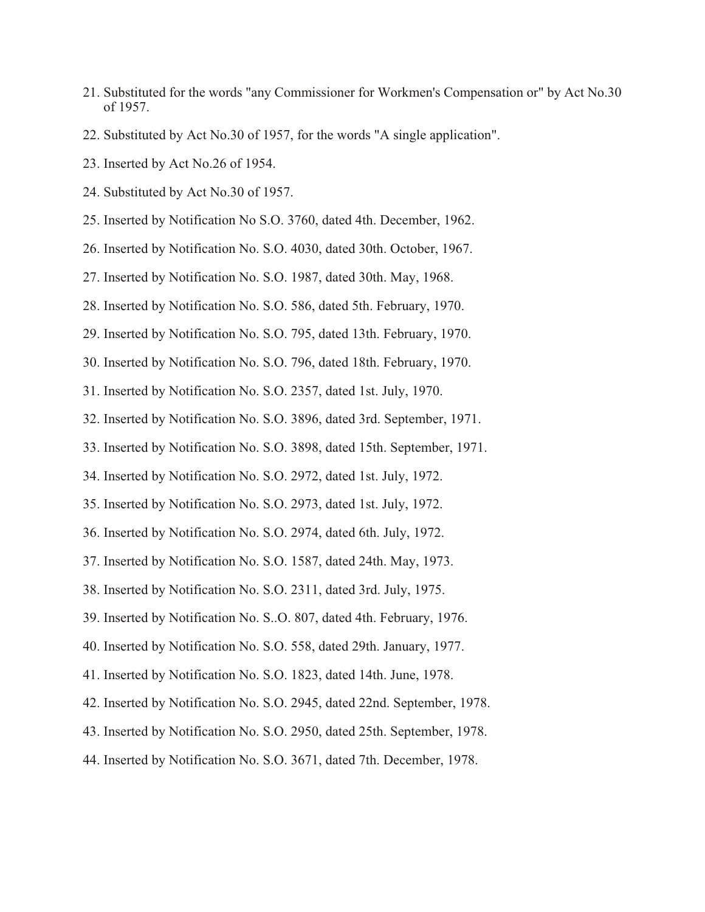- 21. Substituted for the words "any Commissioner for Workmen's Compensation or" by Act No.30 of 1957.
- 22. Substituted by Act No.30 of 1957, for the words "A single application".
- 23. Inserted by Act No.26 of 1954.
- 24. Substituted by Act No.30 of 1957.
- 25. Inserted by Notification No S.O. 3760, dated 4th. December, 1962.
- 26. Inserted by Notification No. S.O. 4030, dated 30th. October, 1967.
- 27. Inserted by Notification No. S.O. 1987, dated 30th. May, 1968.
- 28. Inserted by Notification No. S.O. 586, dated 5th. February, 1970.
- 29. Inserted by Notification No. S.O. 795, dated 13th. February, 1970.
- 30. Inserted by Notification No. S.O. 796, dated 18th. February, 1970.
- 31. Inserted by Notification No. S.O. 2357, dated 1st. July, 1970.
- 32. Inserted by Notification No. S.O. 3896, dated 3rd. September, 1971.
- 33. Inserted by Notification No. S.O. 3898, dated 15th. September, 1971.
- 34. Inserted by Notification No. S.O. 2972, dated 1st. July, 1972.
- 35. Inserted by Notification No. S.O. 2973, dated 1st. July, 1972.
- 36. Inserted by Notification No. S.O. 2974, dated 6th. July, 1972.
- 37. Inserted by Notification No. S.O. 1587, dated 24th. May, 1973.
- 38. Inserted by Notification No. S.O. 2311, dated 3rd. July, 1975.
- 39. Inserted by Notification No. S..O. 807, dated 4th. February, 1976.
- 40. Inserted by Notification No. S.O. 558, dated 29th. January, 1977.
- 41. Inserted by Notification No. S.O. 1823, dated 14th. June, 1978.
- 42. Inserted by Notification No. S.O. 2945, dated 22nd. September, 1978.
- 43. Inserted by Notification No. S.O. 2950, dated 25th. September, 1978.
- 44. Inserted by Notification No. S.O. 3671, dated 7th. December, 1978.